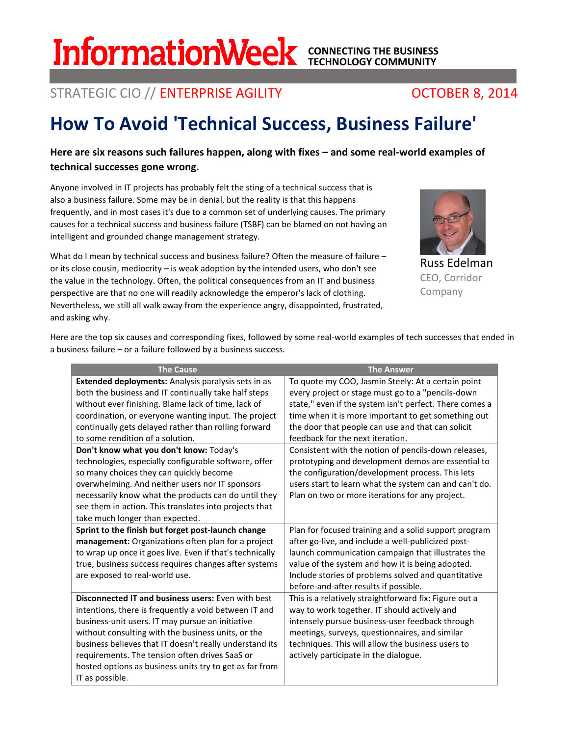# STRATEGIC CIO // ENTERPRISE AGILITY **CONTRATEGIC CIO // ENTERPRISE AGILITY CONTRATEGIC CIO // ENTERPRISE AGILITY**

# **How To Avoid 'Technical Success, Business Failure'**

# **Here are six reasons such failures happen, along with fixes – and some real-world examples of technical successes gone wrong.**

Anyone involved in IT projects has probably felt the sting of a technical success that is also a business failure. Some may be in denial, but the reality is that this happens frequently, and in most cases it's due to a common set of underlying causes. The primary causes for a technical success and business failure (TSBF) can be blamed on not having an intelligent and grounded change management strategy.

What do I mean by technical success and business failure? Often the measure of failure or its close cousin, mediocrity – is weak adoption by the intended users, who don't see the value in the technology. Often, the political consequences from an IT and business perspective are that no one will readily acknowledge the emperor's lack of clothing. Nevertheless, we still all walk away from the experience angry, disappointed, frustrated, and asking why.

Russ Edelman CEO, Corridor Company

Here are the top six causes and corresponding fixes, followed by some real-world examples of tech successes that ended in a business failure – or a failure followed by a business success.

| <b>The Cause</b>                                                                                                                                                                                                                                                                                                                                                                                                                                                                                                                                                                                                                           | <b>The Answer</b>                                                                                                                                                                                                                                                                                                                                                                                                                                                                                                                                                                                 |
|--------------------------------------------------------------------------------------------------------------------------------------------------------------------------------------------------------------------------------------------------------------------------------------------------------------------------------------------------------------------------------------------------------------------------------------------------------------------------------------------------------------------------------------------------------------------------------------------------------------------------------------------|---------------------------------------------------------------------------------------------------------------------------------------------------------------------------------------------------------------------------------------------------------------------------------------------------------------------------------------------------------------------------------------------------------------------------------------------------------------------------------------------------------------------------------------------------------------------------------------------------|
| Extended deployments: Analysis paralysis sets in as<br>both the business and IT continually take half steps<br>without ever finishing. Blame lack of time, lack of<br>coordination, or everyone wanting input. The project<br>continually gets delayed rather than rolling forward<br>to some rendition of a solution.<br>Don't know what you don't know: Today's<br>technologies, especially configurable software, offer<br>so many choices they can quickly become<br>overwhelming. And neither users nor IT sponsors<br>necessarily know what the products can do until they<br>see them in action. This translates into projects that | To quote my COO, Jasmin Steely: At a certain point<br>every project or stage must go to a "pencils-down<br>state," even if the system isn't perfect. There comes a<br>time when it is more important to get something out<br>the door that people can use and that can solicit<br>feedback for the next iteration.<br>Consistent with the notion of pencils-down releases,<br>prototyping and development demos are essential to<br>the configuration/development process. This lets<br>users start to learn what the system can and can't do.<br>Plan on two or more iterations for any project. |
| take much longer than expected.                                                                                                                                                                                                                                                                                                                                                                                                                                                                                                                                                                                                            |                                                                                                                                                                                                                                                                                                                                                                                                                                                                                                                                                                                                   |
| Sprint to the finish but forget post-launch change<br>management: Organizations often plan for a project<br>to wrap up once it goes live. Even if that's technically<br>true, business success requires changes after systems<br>are exposed to real-world use.                                                                                                                                                                                                                                                                                                                                                                            | Plan for focused training and a solid support program<br>after go-live, and include a well-publicized post-<br>launch communication campaign that illustrates the<br>value of the system and how it is being adopted.<br>Include stories of problems solved and quantitative<br>before-and-after results if possible.                                                                                                                                                                                                                                                                             |
| <b>Disconnected IT and business users: Even with best</b><br>intentions, there is frequently a void between IT and<br>business-unit users. IT may pursue an initiative<br>without consulting with the business units, or the<br>business believes that IT doesn't really understand its<br>requirements. The tension often drives SaaS or<br>hosted options as business units try to get as far from<br>IT as possible.                                                                                                                                                                                                                    | This is a relatively straightforward fix: Figure out a<br>way to work together. IT should actively and<br>intensely pursue business-user feedback through<br>meetings, surveys, questionnaires, and similar<br>techniques. This will allow the business users to<br>actively participate in the dialogue.                                                                                                                                                                                                                                                                                         |